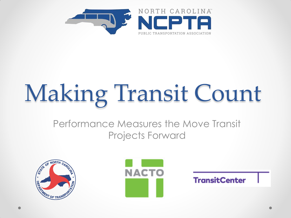

# Making Transit Count

#### Performance Measures the Move Transit Projects Forward





**TransitCenter**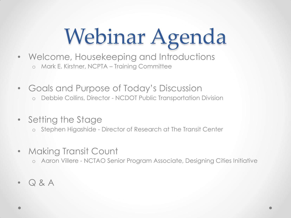## Webinar Agenda

- Welcome, Housekeeping and Introductions o Mark E. Kirstner, NCPTA – Training Committee
- Goals and Purpose of Today's Discussion
	- o Debbie Collins, Director NCDOT Public Transportation Division
- Setting the Stage
	- o Stephen Higashide Director of Research at The Transit Center
- Making Transit Count
	- o Aaron Villere NCTAO Senior Program Associate, Designing Cities Initiative
- Q & A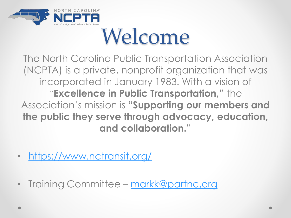

### Welcome

The North Carolina Public Transportation Association (NCPTA) is a private, nonprofit organization that was incorporated in January 1983. With a vision of "**Excellence in Public Transportation,**" the Association's mission is "**Supporting our members and the public they serve through advocacy, education, and collaboration.**"

- <https://www.nctransit.org/>
- Training Committee [markk@partnc.org](mailto:markk@partnc.org)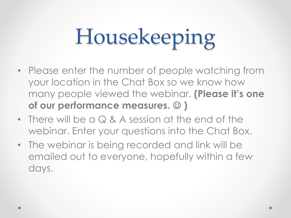## Housekeeping

- Please enter the number of people watching from your location in the Chat Box so we know how many people viewed the webinar. **(Please it's one of our performance measures. )**
- There will be a Q & A session at the end of the webinar. Enter your questions into the Chat Box.
- The webinar is being recorded and link will be emailed out to everyone, hopefully within a few days.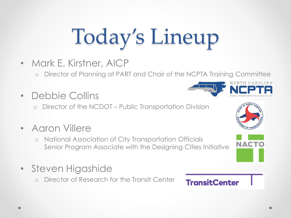## Today's Lineup

- Mark E. Kirstner, AICP
	- Director of Planning at PART and Chair of the NCPTA Training Committee
- Debbie Collins
	- Director of the NCDOT Public Transportation Division
- Aaron Villere
	- o National Association of City Transportation Officials Senior Program Associate with the Designing Cities Initiative
- Steven Higashide
	- o Director of Research for the Transit Center





#### **TransitCenter**